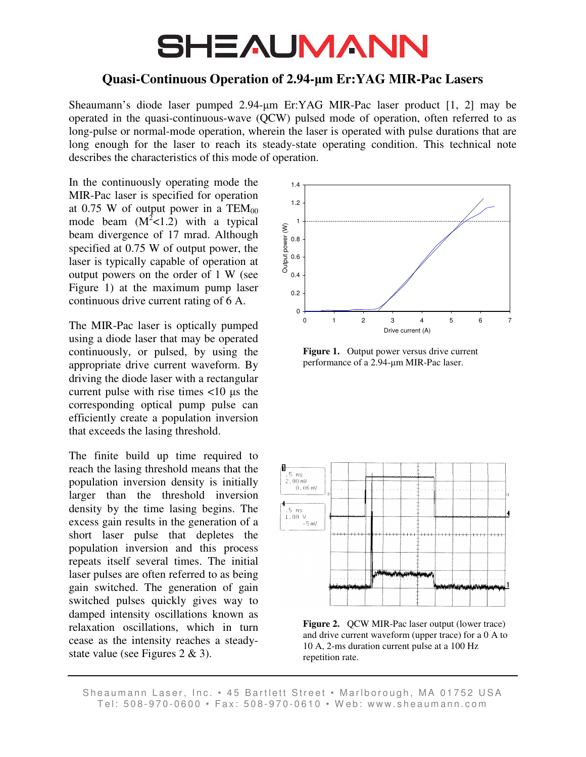## **SHEAUMANN**

## **Quasi-Continuous Operation of 2.94-**µ**m Er:YAG MIR-Pac Lasers**

Sheaumann's diode laser pumped 2.94-µm Er:YAG MIR-Pac laser product [1, 2] may be operated in the quasi-continuous-wave (QCW) pulsed mode of operation, often referred to as long-pulse or normal-mode operation, wherein the laser is operated with pulse durations that are long enough for the laser to reach its steady-state operating condition. This technical note describes the characteristics of this mode of operation.

In the continuously operating mode the MIR-Pac laser is specified for operation at 0.75 W of output power in a  $TEM_{00}$ mode beam  $(M^2<1.2)$  with a typical beam divergence of 17 mrad. Although specified at 0.75 W of output power, the laser is typically capable of operation at output powers on the order of 1 W (see Figure 1) at the maximum pump laser continuous drive current rating of 6 A.

The MIR-Pac laser is optically pumped using a diode laser that may be operated continuously, or pulsed, by using the appropriate drive current waveform. By driving the diode laser with a rectangular current pulse with rise times <10 µs the corresponding optical pump pulse can efficiently create a population inversion that exceeds the lasing threshold.

The finite build up time required to reach the lasing threshold means that the population inversion density is initially larger than the threshold inversion density by the time lasing begins. The excess gain results in the generation of a short laser pulse that depletes the population inversion and this process repeats itself several times. The initial laser pulses are often referred to as being gain switched. The generation of gain switched pulses quickly gives way to damped intensity oscillations known as relaxation oscillations, which in turn cease as the intensity reaches a steadystate value (see Figures 2 & 3).



Figure 1. Output power versus drive current performance of a 2.94-µm MIR-Pac laser.



Figure 2. QCW MIR-Pac laser output (lower trace) and drive current waveform (upper trace) for a 0 A to 10 A, 2-ms duration current pulse at a 100 Hz repetition rate.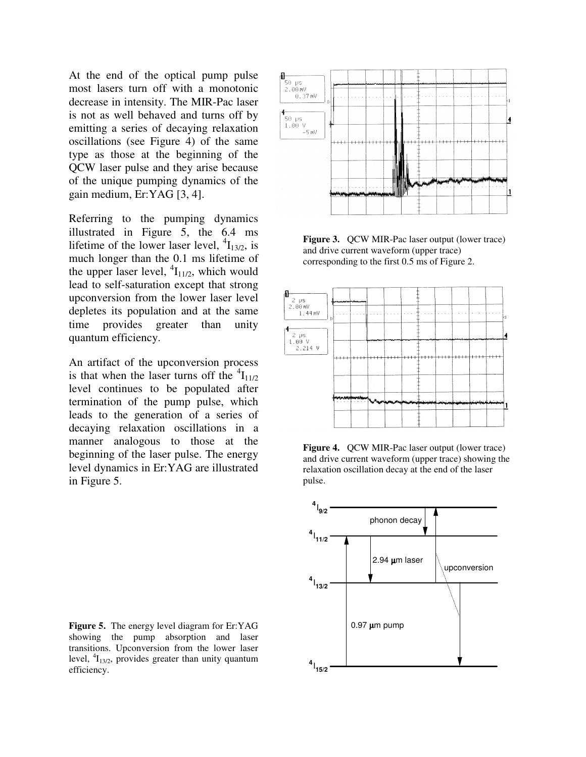At the end of the optical pump pulse most lasers turn off with a monotonic decrease in intensity. The MIR-Pac laser is not as well behaved and turns off by emitting a series of decaying relaxation oscillations (see Figure 4) of the same type as those at the beginning of the QCW laser pulse and they arise because of the unique pumping dynamics of the gain medium, Er:YAG [3, 4].

Referring to the pumping dynamics illustrated in Figure 5, the 6.4 ms lifetime of the lower laser level,  $\binom{4}{13/2}$ , is much longer than the 0.1 ms lifetime of the upper laser level,  ${}^{4}I_{11/2}$ , which would lead to self-saturation except that strong upconversion from the lower laser level depletes its population and at the same time provides greater than unity quantum efficiency.

An artifact of the upconversion process is that when the laser turns off the  $\mathrm{^{4}I_{11/2}}$ level continues to be populated after termination of the pump pulse, which leads to the generation of a series of decaying relaxation oscillations in a manner analogous to those at the beginning of the laser pulse. The energy level dynamics in Er:YAG are illustrated in Figure 5.





Figure 3. OCW MIR-Pac laser output (lower trace) and drive current waveform (upper trace) corresponding to the first 0.5 ms of Figure 2.



**Figure 4.** QCW MIR-Pac laser output (lower trace) and drive current waveform (upper trace) showing the relaxation oscillation decay at the end of the laser pulse.

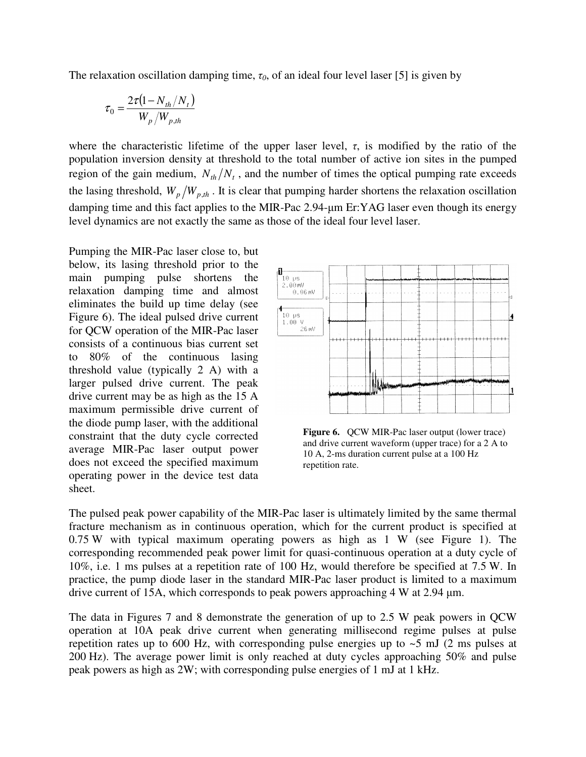The relaxation oscillation damping time,  $\tau_0$ , of an ideal four level laser [5] is given by

$$
\tau_0 = \frac{2\tau (1 - N_{th}/N_t)}{W_p/W_{p,th}}
$$

where the characteristic lifetime of the upper laser level,  $\tau$ , is modified by the ratio of the population inversion density at threshold to the total number of active ion sites in the pumped region of the gain medium,  $N_{th}/N_t$ , and the number of times the optical pumping rate exceeds the lasing threshold,  $W_p/W_{p,th}$ . It is clear that pumping harder shortens the relaxation oscillation damping time and this fact applies to the MIR-Pac 2.94-µm Er:YAG laser even though its energy level dynamics are not exactly the same as those of the ideal four level laser.

Pumping the MIR-Pac laser close to, but below, its lasing threshold prior to the main pumping pulse shortens the relaxation damping time and almost eliminates the build up time delay (see Figure 6). The ideal pulsed drive current for QCW operation of the MIR-Pac laser consists of a continuous bias current set to 80% of the continuous lasing threshold value (typically 2 A) with a larger pulsed drive current. The peak drive current may be as high as the 15 A maximum permissible drive current of the diode pump laser, with the additional constraint that the duty cycle corrected average MIR-Pac laser output power does not exceed the specified maximum operating power in the device test data sheet.



**Figure 6.** QCW MIR-Pac laser output (lower trace) and drive current waveform (upper trace) for a 2 A to 10 A, 2-ms duration current pulse at a 100 Hz repetition rate.

The pulsed peak power capability of the MIR-Pac laser is ultimately limited by the same thermal fracture mechanism as in continuous operation, which for the current product is specified at 0.75 W with typical maximum operating powers as high as 1 W (see Figure 1). The corresponding recommended peak power limit for quasi-continuous operation at a duty cycle of 10%, i.e. 1 ms pulses at a repetition rate of 100 Hz, would therefore be specified at 7.5 W. In practice, the pump diode laser in the standard MIR-Pac laser product is limited to a maximum drive current of 15A, which corresponds to peak powers approaching 4 W at 2.94 µm.

The data in Figures 7 and 8 demonstrate the generation of up to 2.5 W peak powers in QCW operation at 10A peak drive current when generating millisecond regime pulses at pulse repetition rates up to 600 Hz, with corresponding pulse energies up to  $\sim$  5 mJ (2 ms pulses at 200 Hz). The average power limit is only reached at duty cycles approaching 50% and pulse peak powers as high as 2W; with corresponding pulse energies of 1 mJ at 1 kHz.